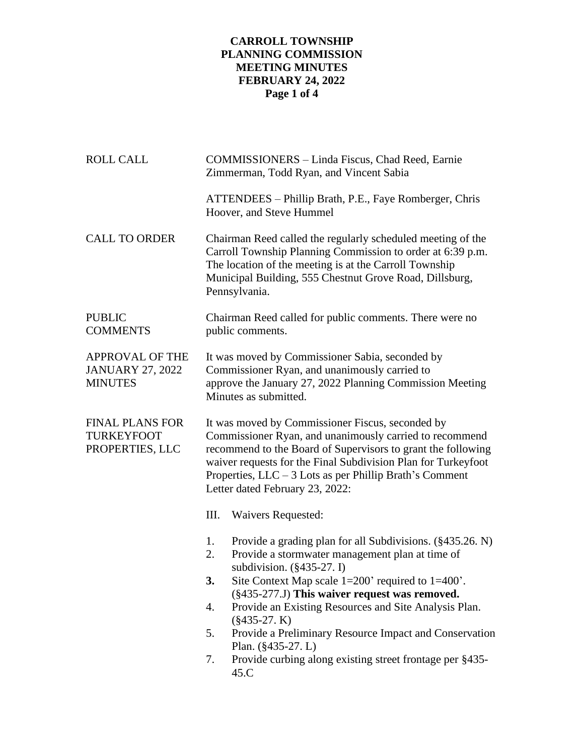## **CARROLL TOWNSHIP PLANNING COMMISSION MEETING MINUTES FEBRUARY 24, 2022 Page 1 of 4**

| <b>ROLL CALL</b>                                        | COMMISSIONERS - Linda Fiscus, Chad Reed, Earnie<br>Zimmerman, Todd Ryan, and Vincent Sabia                                                                                                                                                                                                                                                                                                                                                                                                                                      |
|---------------------------------------------------------|---------------------------------------------------------------------------------------------------------------------------------------------------------------------------------------------------------------------------------------------------------------------------------------------------------------------------------------------------------------------------------------------------------------------------------------------------------------------------------------------------------------------------------|
|                                                         | ATTENDEES - Phillip Brath, P.E., Faye Romberger, Chris<br>Hoover, and Steve Hummel                                                                                                                                                                                                                                                                                                                                                                                                                                              |
| <b>CALL TO ORDER</b>                                    | Chairman Reed called the regularly scheduled meeting of the<br>Carroll Township Planning Commission to order at 6:39 p.m.<br>The location of the meeting is at the Carroll Township<br>Municipal Building, 555 Chestnut Grove Road, Dillsburg,<br>Pennsylvania.                                                                                                                                                                                                                                                                 |
| <b>PUBLIC</b><br><b>COMMENTS</b>                        | Chairman Reed called for public comments. There were no<br>public comments.                                                                                                                                                                                                                                                                                                                                                                                                                                                     |
| APPROVAL OF THE<br>JANUARY 27, 2022<br>MINUTES          | It was moved by Commissioner Sabia, seconded by<br>Commissioner Ryan, and unanimously carried to<br>approve the January 27, 2022 Planning Commission Meeting<br>Minutes as submitted.                                                                                                                                                                                                                                                                                                                                           |
| <b>FINAL PLANS FOR</b><br>TURKEYFOOT<br>PROPERTIES, LLC | It was moved by Commissioner Fiscus, seconded by<br>Commissioner Ryan, and unanimously carried to recommend<br>recommend to the Board of Supervisors to grant the following<br>waiver requests for the Final Subdivision Plan for Turkeyfoot<br>Properties, $LLC - 3$ Lots as per Phillip Brath's Comment<br>Letter dated February 23, 2022:                                                                                                                                                                                    |
|                                                         | Ш.<br>Waivers Requested:                                                                                                                                                                                                                                                                                                                                                                                                                                                                                                        |
|                                                         | Provide a grading plan for all Subdivisions. (§435.26. N)<br>1.<br>Provide a stormwater management plan at time of<br>2.<br>subdivision. $(\S 435-27.1)$<br>Site Context Map scale $1=200$ ' required to $1=400$ '.<br>3.<br>(§435-277.J) This waiver request was removed.<br>Provide an Existing Resources and Site Analysis Plan.<br>4.<br>$(\$435-27. K)$<br>Provide a Preliminary Resource Impact and Conservation<br>5.<br>Plan. $(\$435-27. L)$<br>Provide curbing along existing street frontage per §435-<br>7.<br>45.C |
|                                                         |                                                                                                                                                                                                                                                                                                                                                                                                                                                                                                                                 |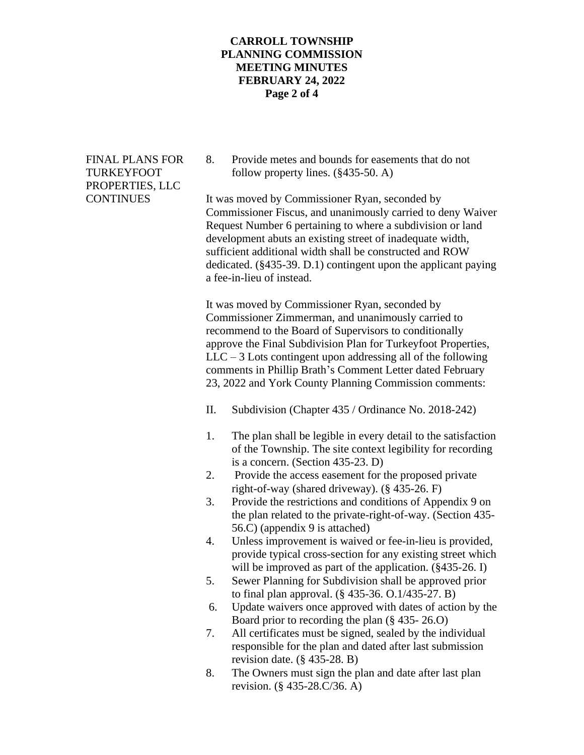### **CARROLL TOWNSHIP PLANNING COMMISSION MEETING MINUTES FEBRUARY 24, 2022 Page 2 of 4**

# PROPERTIES, LLC

FINAL PLANS FOR 8. Provide metes and bounds for easements that do not TURKEYFOOT follow property lines. (§435-50. A)

CONTINUES It was moved by Commissioner Ryan, seconded by Commissioner Fiscus, and unanimously carried to deny Waiver Request Number 6 pertaining to where a subdivision or land development abuts an existing street of inadequate width, sufficient additional width shall be constructed and ROW dedicated. (§435-39. D.1) contingent upon the applicant paying a fee-in-lieu of instead.

> It was moved by Commissioner Ryan, seconded by Commissioner Zimmerman, and unanimously carried to recommend to the Board of Supervisors to conditionally approve the Final Subdivision Plan for Turkeyfoot Properties,  $LLC - 3$  Lots contingent upon addressing all of the following comments in Phillip Brath's Comment Letter dated February 23, 2022 and York County Planning Commission comments:

- II. Subdivision (Chapter 435 / Ordinance No. 2018-242)
- 1. The plan shall be legible in every detail to the satisfaction of the Township. The site context legibility for recording is a concern. (Section 435-23. D)
- 2. Provide the access easement for the proposed private right-of-way (shared driveway). (§ 435-26. F)
- 3. Provide the restrictions and conditions of Appendix 9 on the plan related to the private-right-of-way. (Section 435- 56.C) (appendix 9 is attached)
- 4. Unless improvement is waived or fee-in-lieu is provided, provide typical cross-section for any existing street which will be improved as part of the application. (§435-26. I)
- 5. Sewer Planning for Subdivision shall be approved prior to final plan approval. (§ 435-36. O.1/435-27. B)
- 6. Update waivers once approved with dates of action by the Board prior to recording the plan (§ 435- 26.O)
- 7. All certificates must be signed, sealed by the individual responsible for the plan and dated after last submission revision date.  $(\S$  435-28. B)
- 8. The Owners must sign the plan and date after last plan revision. (§ 435-28.C/36. A)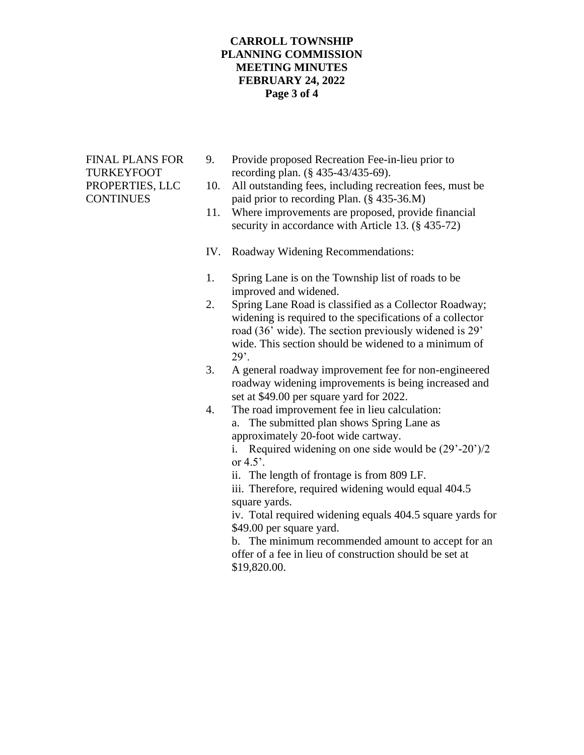### **CARROLL TOWNSHIP PLANNING COMMISSION MEETING MINUTES FEBRUARY 24, 2022 Page 3 of 4**

- FINAL PLANS FOR 9. Provide proposed Recreation Fee-in-lieu prior to TURKEYFOOT recording plan. (§ 435-43/435-69).
- PROPERTIES, LLC 10. All outstanding fees, including recreation fees, must be CONTINUES paid prior to recording Plan. (§ 435-36.M)
	- 11. Where improvements are proposed, provide financial security in accordance with Article 13. (§ 435-72)
	- IV. Roadway Widening Recommendations:
	- 1. Spring Lane is on the Township list of roads to be improved and widened.
	- 2. Spring Lane Road is classified as a Collector Roadway; widening is required to the specifications of a collector road (36' wide). The section previously widened is 29' wide. This section should be widened to a minimum of  $29$ .
	- 3. A general roadway improvement fee for non-engineered roadway widening improvements is being increased and set at \$49.00 per square yard for 2022.
	- 4. The road improvement fee in lieu calculation: a. The submitted plan shows Spring Lane as approximately 20-foot wide cartway.

i. Required widening on one side would be (29'-20')/2 or  $4.5$ <sup>'</sup>.

ii. The length of frontage is from 809 LF.

iii. Therefore, required widening would equal 404.5 square yards.

iv. Total required widening equals 404.5 square yards for \$49.00 per square yard.

b. The minimum recommended amount to accept for an offer of a fee in lieu of construction should be set at \$19,820.00.